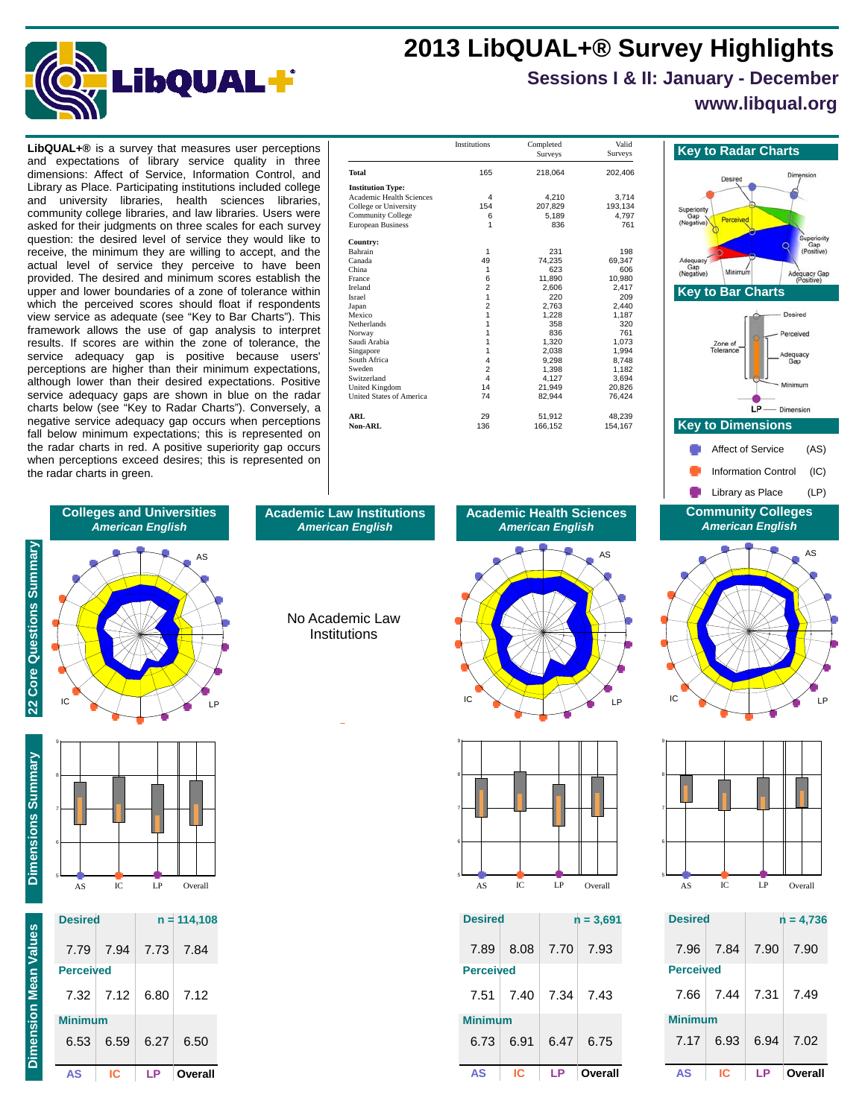## **2013 LibQUAL+® Survey Highlights**



# **Sessions I & II: January - December**

### **www.libqual.org**

dimensions: Affect of Service, Information Control, and Library as Place. Participating institutions included college and university libraries, health sciences libraries, community college libraries, and law libraries. Users were asked for their judgments on three scales for each survey question: the desired level of service they would like to receive, the minimum they are willing to accept, and the actual level of service they perceive to have been provided. The desired and minimum scores establish the upper and lower boundaries of a zone of tolerance within which the perceived scores should float if respondents view service as adequate (see "Key to Bar Charts"). This framework allows the use of gap analysis to interpret results. If scores are within the zone of tolerance, the service adequacy gap is positive because users' perceptions are higher than their minimum expectations, although lower than their desired expectations. Positive service adequacy gaps are shown in blue on the radar charts below (see "Key to Radar Charts"). Conversely, a negative service adequacy gap occurs when perceptions fall below minimum expectations; this is represented on the radar charts in red. A positive superiority gap occurs when perceptions exceed desires; this is represented on the radar charts in green.

| <b>LibQUAL+®</b> is a survey that measures user perceptions                                                                                                                                                                                                                                                                                                                                                                                                                                                                                                                                   |                                                                                                                                                                             | <b>Institutions</b> | Completed<br>Surveys                                                                                                        | Valid<br>Surveys                                                                                                            | <b>Key to Radar Charts</b>                                                                                   |
|-----------------------------------------------------------------------------------------------------------------------------------------------------------------------------------------------------------------------------------------------------------------------------------------------------------------------------------------------------------------------------------------------------------------------------------------------------------------------------------------------------------------------------------------------------------------------------------------------|-----------------------------------------------------------------------------------------------------------------------------------------------------------------------------|---------------------|-----------------------------------------------------------------------------------------------------------------------------|-----------------------------------------------------------------------------------------------------------------------------|--------------------------------------------------------------------------------------------------------------|
| and expectations of library service quality in three<br>dimensions: Affect of Service, Information Control, and                                                                                                                                                                                                                                                                                                                                                                                                                                                                               | Total                                                                                                                                                                       | 165                 | 218.064                                                                                                                     | 202,406                                                                                                                     | Desired                                                                                                      |
| Library as Place. Participating institutions included college<br>university libraries, health sciences libraries,<br>and<br>community college libraries, and law libraries. Users were<br>asked for their judgments on three scales for each survey<br>question: the desired level of service they would like to                                                                                                                                                                                                                                                                              | <b>Institution Type:</b><br><b>Academic Health Sciences</b><br>College or University<br><b>Community College</b><br><b>European Business</b><br>Country:                    | 154                 | 4,210<br>207.829<br>5,189<br>836                                                                                            | 3,714<br>193.134<br>4,797<br>761                                                                                            | Superiority<br>Perceived<br>(Negative)                                                                       |
| receive, the minimum they are willing to accept, and the<br>actual level of service they perceive to have been<br>provided. The desired and minimum scores establish the<br>upper and lower boundaries of a zone of tolerance within<br>which the perceived scores should float if respondents<br>view service as adequate (see "Key to Bar Charts"). This<br>framework allows the use of gap analysis to interpret<br>results. If scores are within the zone of tolerance, the<br>service adequacy gap is positive because users'<br>perceptions are higher than their minimum expectations, | Bahrain<br>Canada<br>China<br>France<br>Ireland<br>Israel<br>Japan<br>Mexico<br>Netherlands<br>Norway<br>Saudi Arabia<br>Singapore<br>South Africa<br>Sweden<br>Switzerland |                     | 231<br>74.235<br>623<br>11.890<br>2,606<br>220<br>2.763<br>1,228<br>358<br>836<br>1,320<br>2,038<br>9,298<br>1,398<br>4.127 | 198<br>69,347<br>606<br>10,980<br>2,417<br>209<br>2.440<br>1,187<br>320<br>761<br>1.073<br>1.994<br>8.748<br>1.182<br>3,694 | Adequacy<br>Gap<br>Minimum<br>(Negative)<br>Ade<br><b>Key to Bar Charts</b><br>Zone of<br>Tolerance<br>Adequ |
| although lower than their desired expectations. Positive<br>service adequacy gaps are shown in blue on the radar<br>charts below (see "Key to Radar Charts"). Conversely, a                                                                                                                                                                                                                                                                                                                                                                                                                   | <b>United Kingdom</b><br>United States of America<br><b>ARL</b>                                                                                                             | 14<br>74<br>29      | 21,949<br>82,944<br>51,912                                                                                                  | 20,826<br>76,424<br>48,239                                                                                                  | $LP$ - Dimens                                                                                                |
| negative service adequacy gap occurs when perceptions<br>fall below minimum expectations; this is represented on                                                                                                                                                                                                                                                                                                                                                                                                                                                                              | Non-ARL                                                                                                                                                                     | 136                 | 166,152                                                                                                                     | 154,167                                                                                                                     | <b>Key to Dimensions</b>                                                                                     |







| <b>Desired</b>   |      | $n = 4,736$ |         |  |
|------------------|------|-------------|---------|--|
| 7.96             | 7.84 | 7.90        | - 7.90  |  |
| <b>Perceived</b> |      |             |         |  |
| 7.66             | 7.44 | 7.31        | 7.49    |  |
| <b>Minimum</b>   |      |             |         |  |
| 7.17             | 6.93 | 6.94        | - 7.02  |  |
| AS               | IC   | LP          | Overall |  |

#### **Academic Law Institutions** *American English*

56789 Institutions No Academic Law

**Dimensions Summary** Dimensions Summary

**22 Core Questions Summary**

22 Core Questions Summary

IC  $\times$  /  $\mid$   $\setminus$   $\times$  LP

**Colleges and Universities** *American English*

AS

56789

6

7

8

9

| AS               | IC.             | LP        | Overall       |
|------------------|-----------------|-----------|---------------|
| <b>Desired</b>   |                 |           | $n = 114,108$ |
| 7.79             | 7.94            | 7.73 7.84 |               |
| <b>Perceived</b> |                 |           |               |
|                  | $7.32 \pm 7.12$ | 6.80      | 7.12          |
| <b>Minimum</b>   |                 |           |               |
| 6.53             | 6.59            | 6.27      | 6.50          |

**AS IC LP Overall**



9



IC  $\times$   $\rightarrow$   $\rightarrow$   $\rightarrow$  LP

**Academic Health Sciences** *American English*

AS

56789

| <b>Desired</b>   |      | $n = 3,691$ |                 |  |
|------------------|------|-------------|-----------------|--|
| 7.89             | 8.08 | 7.70        | 7.93            |  |
| <b>Perceived</b> |      |             |                 |  |
| 7.51             | 7.40 | 7.34        | - 7.43          |  |
| <b>Minimum</b>   |      |             |                 |  |
| 6.73             | 6.91 |             | $6.47 \pm 6.75$ |  |
| <b>AS</b>        | ΙC   | LP          | Overall         |  |